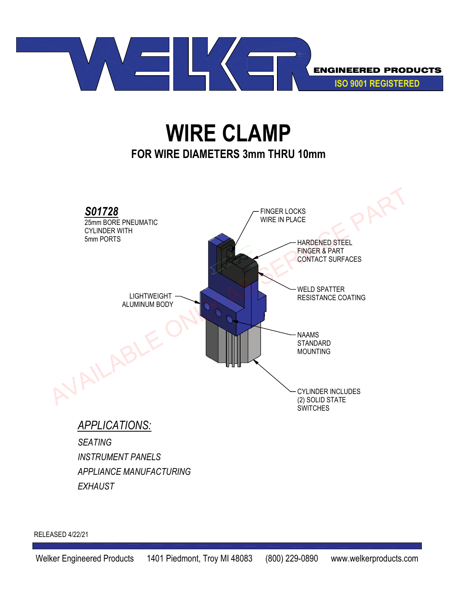

## **WIRE CLAMP FOR WIRE DIAMETERS 3mm THRU 10mm**



*EXHAUST*

RELEASED 4/22/21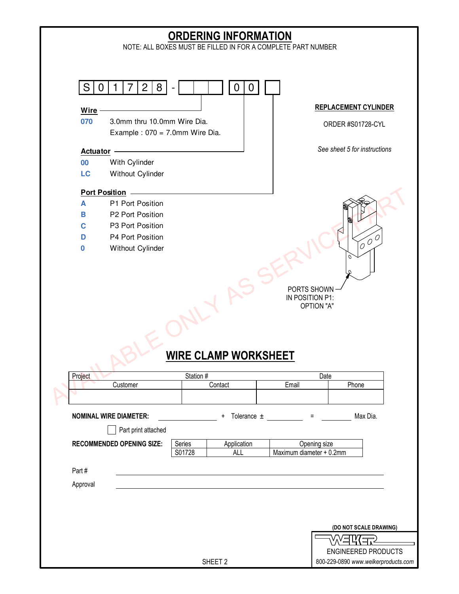## Project Date Charles Station # 2012 12:00 Station # Date Date Date Date Customer **Contact** Contact **Email** Phone **NOMINAL WIRE DIAMETER:**  $+$  Tolerance  $\pm$   $=$  Max Dia. Part print attached **RECOMMENDED OPENING SIZE:** Series | Application | Opening size S01728 ALL Maximum diameter + 0.2mm Part # Approval S | 0 | 1 | 7 | 2 | 8 | - | | | | | 0 | 0 | **Wire 070** 3.0mm thru 10.0mm Wire Dia. Example :  $070 = 7.0$ mm Wire Dia. **Actuator 00** With Cylinder **LC** Without Cylinder **Port Position A** P1 Port Position **B** P2 Port Position **C** P3 Port Position **D** P4 Port Position **0** Without Cylinder ENGINEERED PRODUCTS 800-229-0890 *www.welkerproducts.com* **(DO NOT SCALE DRAWING)** SHEET 2 **ORDERING INFORMATION** NOTE: ALL BOXES MUST BE FILLED IN FOR A COMPLETE PART NUMBER PORTS SHOWN IN POSITION P1: OPTION "A" **WIRE CLAMP WORKSHEET REPLACEMENT CYLINDER** ORDER #S01728-CYL *See sheet 5 for instructions* Port Position<br>
B P2 Port Position<br>
B P2 Port Position<br>
D P4 Port Position<br>
O Without Cylinder<br>
OUTON AT PORTS SHOWN<br>
IN POSITION P1:<br>
OUTON AT<br>
ONLY MIRE CLAMP WORKSHEET<br>
Project<br>
Customer Contact Email Phone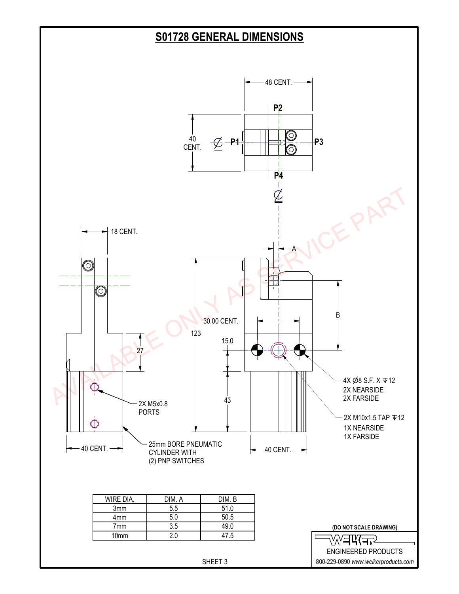